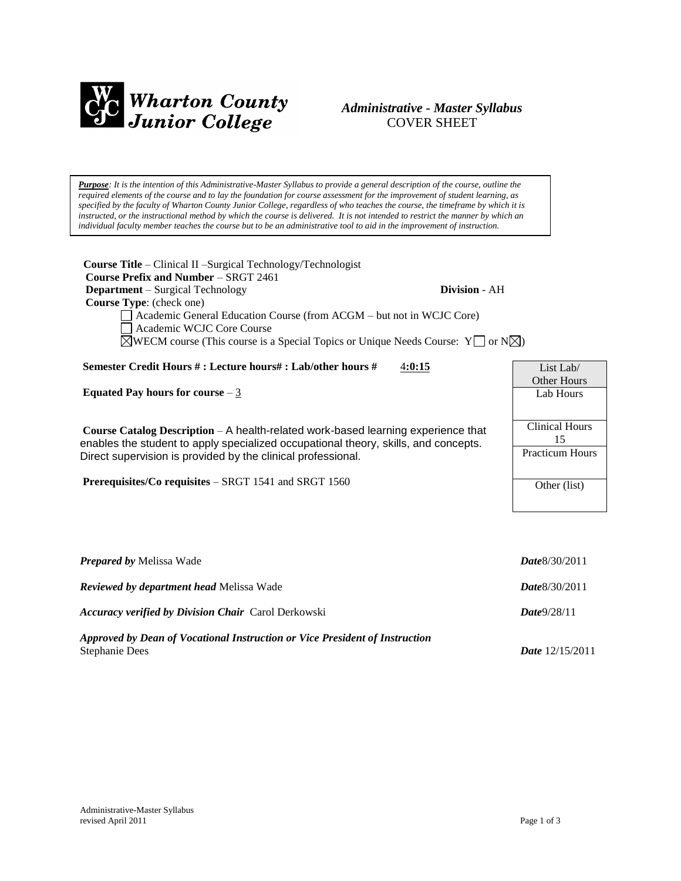

# *Administrative - Master Syllabus*  COVER SHEET

*Purpose: It is the intention of this Administrative-Master Syllabus to provide a general description of the course, outline the required elements of the course and to lay the foundation for course assessment for the improvement of student learning, as specified by the faculty of Wharton County Junior College, regardless of who teaches the course, the timeframe by which it is instructed, or the instructional method by which the course is delivered. It is not intended to restrict the manner by which an individual faculty member teaches the course but to be an administrative tool to aid in the improvement of instruction.*

**Course Title** – Clinical II –Surgical Technology/Technologist  **Course Prefix and Number** – SRGT 2461 **Department** – Surgical Technology **Division** - AH  **Course Type**: (check one) Academic General Education Course (from ACGM – but not in WCJC Core) Academic WCJC Core Course  $\boxtimes$ WECM course (This course is a Special Topics or Unique Needs Course: Y  $\Box$  or N $\boxtimes$ ) **Semester Credit Hours # : Lecture hours# : Lab/other hours #** 4**:0:15 Equated Pay hours for course** – 3 **Course Catalog Description** – A health-related work-based learning experience that enables the student to apply specialized occupational theory, skills, and concepts. Direct supervision is provided by the clinical professional. **Prerequisites/Co requisites** – SRGT 1541 and SRGT 1560 List Lab/ Other Hours Lab Hours Clinical Hours Practicum Hours Other (list)

| <b>Prepared by Melissa Wade</b>                                                                      | Date 8/30/2011           |
|------------------------------------------------------------------------------------------------------|--------------------------|
| <b>Reviewed by department head Melissa Wade</b>                                                      | <b>Date</b> 8/30/2011    |
| <b>Accuracy verified by Division Chair</b> Carol Derkowski                                           | Date9/28/11              |
| Approved by Dean of Vocational Instruction or Vice President of Instruction<br><b>Stephanie Dees</b> | <i>Date</i> $12/15/2011$ |

15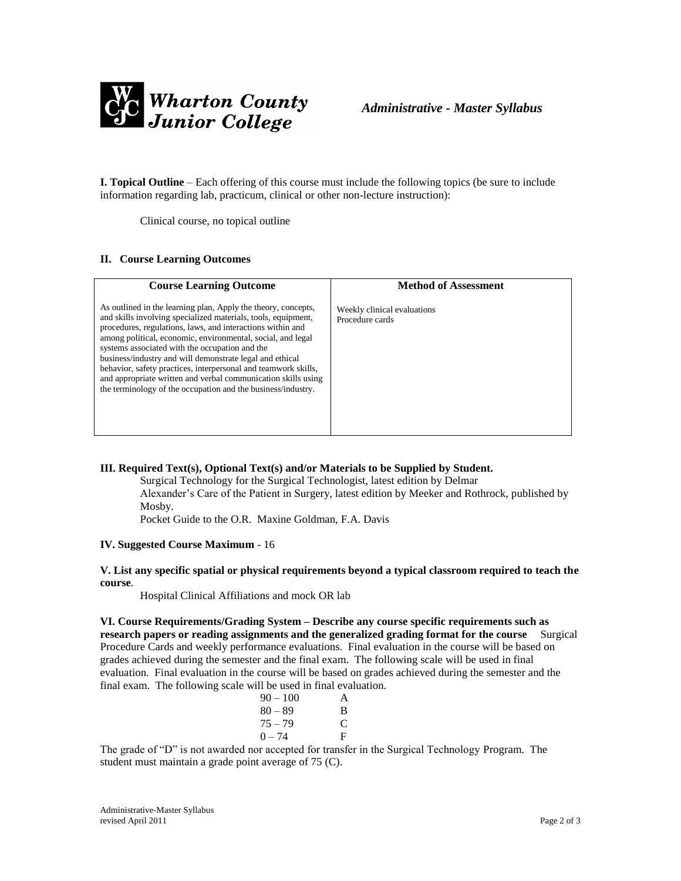

**I. Topical Outline** – Each offering of this course must include the following topics (be sure to include information regarding lab, practicum, clinical or other non-lecture instruction):

Clinical course, no topical outline

## **II. Course Learning Outcomes**

| <b>Course Learning Outcome</b>                                                                                                                                                                                                                                                                                                                                                                                                                                                                                                                                               | <b>Method of Assessment</b>                    |
|------------------------------------------------------------------------------------------------------------------------------------------------------------------------------------------------------------------------------------------------------------------------------------------------------------------------------------------------------------------------------------------------------------------------------------------------------------------------------------------------------------------------------------------------------------------------------|------------------------------------------------|
| As outlined in the learning plan, Apply the theory, concepts,<br>and skills involving specialized materials, tools, equipment,<br>procedures, regulations, laws, and interactions within and<br>among political, economic, environmental, social, and legal<br>systems associated with the occupation and the<br>business/industry and will demonstrate legal and ethical<br>behavior, safety practices, interpersonal and teamwork skills,<br>and appropriate written and verbal communication skills using<br>the terminology of the occupation and the business/industry. | Weekly clinical evaluations<br>Procedure cards |

# **III. Required Text(s), Optional Text(s) and/or Materials to be Supplied by Student.**

Surgical Technology for the Surgical Technologist, latest edition by Delmar Alexander's Care of the Patient in Surgery, latest edition by Meeker and Rothrock, published by Mosby.

Pocket Guide to the O.R. Maxine Goldman, F.A. Davis

#### **IV. Suggested Course Maximum** - 16

## **V. List any specific spatial or physical requirements beyond a typical classroom required to teach the course**.

Hospital Clinical Affiliations and mock OR lab

**VI. Course Requirements/Grading System – Describe any course specific requirements such as research papers or reading assignments and the generalized grading format for the course** Surgical Procedure Cards and weekly performance evaluations. Final evaluation in the course will be based on grades achieved during the semester and the final exam. The following scale will be used in final evaluation. Final evaluation in the course will be based on grades achieved during the semester and the final exam. The following scale will be used in final evaluation.

| $90 - 100$ | A |
|------------|---|
| $80 - 89$  | B |
| $75 - 79$  | C |
| $0 - 74$   | F |

The grade of "D" is not awarded nor accepted for transfer in the Surgical Technology Program. The student must maintain a grade point average of 75 (C).